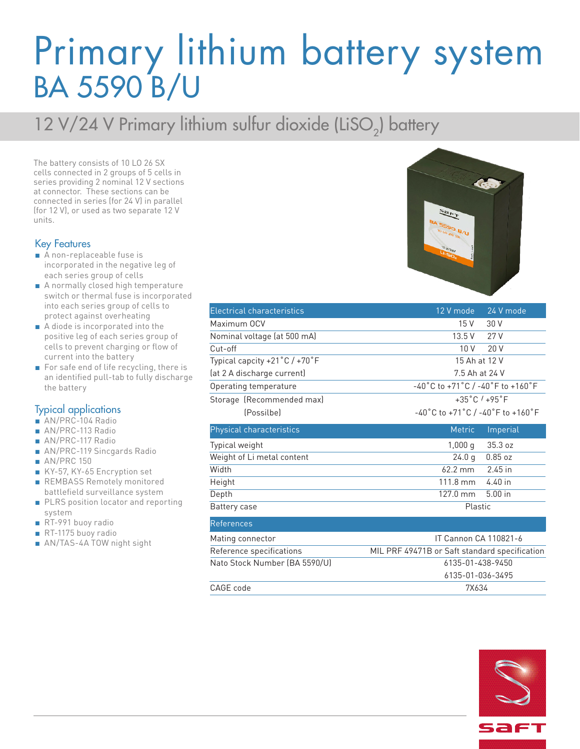## Primary lithium battery system BA 5590 B/U

### 12 V/24 V Primary lithium sulfur dioxide (LiSO<sub>2</sub>) battery

The battery consists of 10 LO 26 SX cells connected in 2 groups of 5 cells in series providing 2 nominal 12 V sections at connector. These sections can be connected in series (for 24 V) in parallel (for 12 V), or used as two separate 12 V units.

#### Key Features

- A non-replaceable fuse is incorporated in the negative leg of each series group of cells
- A normally closed high temperature switch or thermal fuse is incorporated into each series group of cells to protect against overheating
- A diode is incorporated into the positive leg of each series group of cells to prevent charging or flow of current into the battery
- For safe end of life recycling, there is an identified pull-tab to fully discharge the battery

#### Typical applications

- AN/PRC-104 Radio
- AN/PRC-113 Radio
- AN/PRC-117 Radio
- AN/PRC-119 Sincgards Radio
- AN/PRC 150
- KY-57, KY-65 Encryption set
- REMBASS Remotely monitored battlefield surveillance system
- PLRS position locator and reporting system
- RT-991 buoy radio
- RT-1175 buoy radio
- AN/TAS-4A TOW night sight

| <b>Electrical characteristics</b> | 12 V mode<br>24 V mode                                                      |
|-----------------------------------|-----------------------------------------------------------------------------|
| Maximum OCV                       | 15 V<br>30 V                                                                |
| Nominal voltage (at 500 mA)       | 13.5V<br>27 V                                                               |
| Cut-off                           | 10 V<br>20V                                                                 |
| Typical capcity +21°C / +70°F     | 15 Ah at 12 V                                                               |
| (at 2 A discharge current)        | 7.5 Ah at 24 V                                                              |
| Operating temperature             | $-40^{\circ}$ C to +71 $^{\circ}$ C / -40 $^{\circ}$ F to +160 $^{\circ}$ F |
| Storage (Recommended max)         | $+35^{\circ}$ C $/ +95^{\circ}$ F                                           |
| (Possilbe)                        | $-40^{\circ}$ C to +71 $^{\circ}$ C / -40 $^{\circ}$ F to +160 $^{\circ}$ F |
| Physical characteristics          | <b>Metric</b><br>Imperial                                                   |
| Typical weight                    | 1,000q<br>35.3 oz                                                           |
| Weight of Li metal content        | 0.85oz<br>24.0 <sub>q</sub>                                                 |
| Width                             | $62.2$ mm<br>$2.45$ in                                                      |
| Height                            | $111.8 \text{ mm}$<br>$4.40$ in                                             |
| Depth                             | $127.0$ mm<br>$5.00$ in                                                     |
| Battery case                      | Plastic                                                                     |
| <b>References</b>                 |                                                                             |
| Mating connector                  | IT Cannon CA 110821-6                                                       |
| Reference specifications          | MIL PRF 49471B or Saft standard specification                               |
| Nato Stock Number (BA 5590/U)     | 6135-01-438-9450                                                            |
|                                   | 6135-01-036-3495                                                            |
| CAGE code                         | 7X634                                                                       |



| sa <del>r</del> ı |
|-------------------|
|                   |